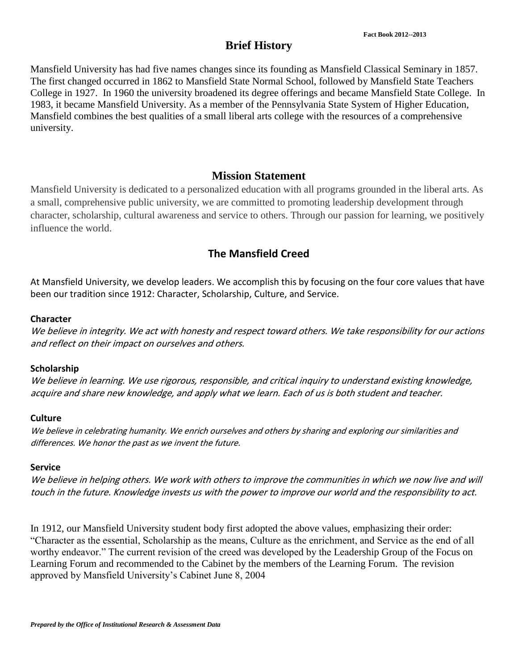# **Brief History**

Mansfield University has had five names changes since its founding as Mansfield Classical Seminary in 1857. The first changed occurred in 1862 to Mansfield State Normal School, followed by Mansfield State Teachers College in 1927. In 1960 the university broadened its degree offerings and became Mansfield State College. In 1983, it became Mansfield University. As a member of the Pennsylvania State System of Higher Education, Mansfield combines the best qualities of a small liberal arts college with the resources of a comprehensive university.

### **Mission Statement**

Mansfield University is dedicated to a personalized education with all programs grounded in the liberal arts. As a small, comprehensive public university, we are committed to promoting leadership development through character, scholarship, cultural awareness and service to others. Through our passion for learning, we positively influence the world.

## **The Mansfield Creed**

At Mansfield University, we develop leaders. We accomplish this by focusing on the four core values that have been our tradition since 1912: Character, Scholarship, Culture, and Service.

#### **Character**

We believe in integrity. We act with honesty and respect toward others. We take responsibility for our actions and reflect on their impact on ourselves and others.

#### **Scholarship**

We believe in learning. We use rigorous, responsible, and critical inquiry to understand existing knowledge, acquire and share new knowledge, and apply what we learn. Each of us is both student and teacher.

#### **Culture**

We believe in celebrating humanity. We enrich ourselves and others by sharing and exploring our similarities and differences. We honor the past as we invent the future.

#### **Service**

We believe in helping others. We work with others to improve the communities in which we now live and will touch in the future. Knowledge invests us with the power to improve our world and the responsibility to act.

In 1912, our Mansfield University student body first adopted the above values, emphasizing their order: "Character as the essential, Scholarship as the means, Culture as the enrichment, and Service as the end of all worthy endeavor." The current revision of the creed was developed by the Leadership Group of the Focus on Learning Forum and recommended to the Cabinet by the members of the Learning Forum. The revision approved by Mansfield University's Cabinet June 8, 2004